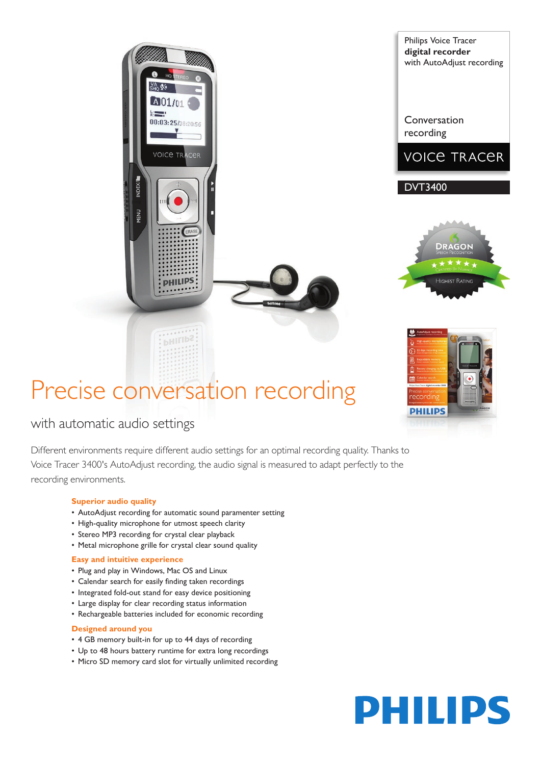# Precise conversation recording

00:03:25/38:20:56

**VOICE TRACER** 

**PHILIPS** 

**DHILIPS** 

# with automatic audio settings

Different environments require different audio settings for an optimal recording quality. Thanks to Voice Tracer 3400's AutoAdjust recording, the audio signal is measured to adapt perfectly to the recording environments.

# **Superior audio quality**

- AutoAdjust recording for automatic sound paramenter setting
- High-quality microphone for utmost speech clarity
- Stereo MP3 recording for crystal clear playback
- Metal microphone grille for crystal clear sound quality

### **Easy and intuitive experience**

- Plug and play in Windows, Mac OS and Linux
- • Calendar search for easily finding taken recordings
- Integrated fold-out stand for easy device positioning
- Large display for clear recording status information
- Rechargeable batteries included for economic recording

### **Designed around you**

- 4 GB memory built-in for up to 44 days of recording
- Up to 48 hours battery runtime for extra long recordings
- Micro SD memory card slot for virtually unlimited recording



Conversation recording



DVT3400





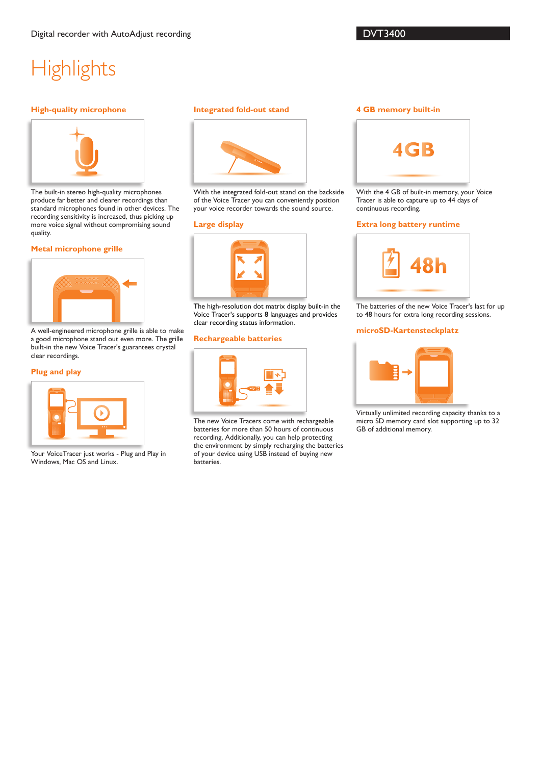# **Highlights**

#### **High-quality microphone**



The built-in stereo high-quality microphones produce far better and clearer recordings than standard microphones found in other devices. The recording sensitivity is increased, thus picking up more voice signal without compromising sound quality.

#### **Metal microphone grille**



A well-engineered microphone grille is able to make a good microphone stand out even more. The grille built-in the new Voice Tracer's guarantees crystal clear recordings.

#### **Plug and play**



Your VoiceTracer just works - Plug and Play in Windows, Mac OS and Linux.

#### **Integrated fold-out stand**



With the integrated fold-out stand on the backside of the Voice Tracer you can conveniently position your voice recorder towards the sound source.

#### **Large display**



The high-resolution dot matrix display built-in the Voice Tracer's supports 8 languages and provides clear recording status information.

#### **Rechargeable batteries**



The new Voice Tracers come with rechargeable batteries for more than 50 hours of continuous recording. Additionally, you can help protecting the environment by simply recharging the batteries of your device using USB instead of buying new batteries.

#### **4 GB memory built-in**



With the 4 GB of built-in memory, your Voice Tracer is able to capture up to 44 days of continuous recording.

#### **Extra long battery runtime**



The batteries of the new Voice Tracer's last for up to 48 hours for extra long recording sessions.

#### **microSD-Kartensteckplatz**



Virtually unlimited recording capacity thanks to a micro SD memory card slot supporting up to 32 GB of additional memory.